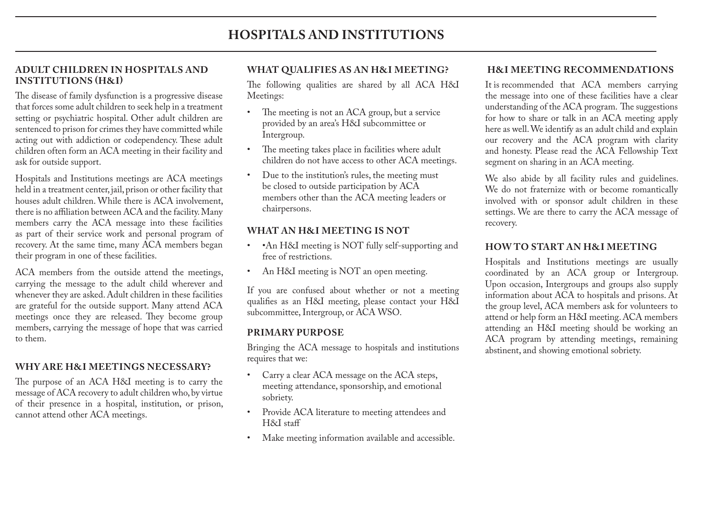#### **ADULT CHILDREN IN HOSPITALS AND INSTITUTIONS (H&I)**

The disease of family dysfunction is a progressive disease that forces some adult children to seek help in a treatment setting or psychiatric hospital. Other adult children are sentenced to prison for crimes they have committed while acting out with addiction or codependency. These adult children often form an ACA meeting in their facility and ask for outside support.

Hospitals and Institutions meetings are ACA meetings held in a treatment center, jail, prison or other facility that houses adult children. While there is ACA involvement, there is no affiliation between ACA and the facility. Many members carry the ACA message into these facilities as part of their service work and personal program of recovery. At the same time, many ACA members began their program in one of these facilities.

ACA members from the outside attend the meetings, carrying the message to the adult child wherever and whenever they are asked. Adult children in these facilities are grateful for the outside support. Many attend ACA meetings once they are released. They become group members, carrying the message of hope that was carried to them.

## **WHY ARE H&I MEETINGS NECESSARY?**

The purpose of an ACA H&I meeting is to carry the message of ACA recovery to adult children who, by virtue of their presence in a hospital, institution, or prison, cannot attend other ACA meetings.

## **WHAT QUALIFIES AS AN H&I MEETING?**

The following qualities are shared by all ACA H&I Meetings:

- The meeting is not an ACA group, but a service provided by an area's H&I subcommittee or Intergroup.
- The meeting takes place in facilities where adult children do not have access to other ACA meetings.
- Due to the institution's rules, the meeting must be closed to outside participation by ACA members other than the ACA meeting leaders or chairpersons.

## **WHAT AN H&I MEETING IS NOT**

- •An H&I meeting is NOT fully self-supporting and free of restrictions.
- An H&I meeting is NOT an open meeting.

If you are confused about whether or not a meeting qualifies as an H&I meeting, please contact your H&I subcommittee, Intergroup, or ACA WSO.

#### **PRIMARY PURPOSE**

Bringing the ACA message to hospitals and institutions requires that we:

- Carry a clear ACA message on the ACA steps, meeting attendance, sponsorship, and emotional sobriety.
- Provide ACA literature to meeting attendees and H&I staff
- Make meeting information available and accessible.

#### **H&I MEETING RECOMMENDATIONS**

It is recommended that ACA members carrying the message into one of these facilities have a clear understanding of the ACA program. The suggestions for how to share or talk in an ACA meeting apply here as well. We identify as an adult child and explain our recovery and the ACA program with clarity and honesty. Please read the ACA Fellowship Text segment on sharing in an ACA meeting.

We also abide by all facility rules and guidelines. We do not fraternize with or become romantically involved with or sponsor adult children in these settings. We are there to carry the ACA message of recovery.

#### **HOW TO START AN H&I MEETING**

Hospitals and Institutions meetings are usually coordinated by an ACA group or Intergroup. Upon occasion, Intergroups and groups also supply information about ACA to hospitals and prisons. At the group level, ACA members ask for volunteers to attend or help form an H&I meeting. ACA members attending an H&I meeting should be working an ACA program by attending meetings, remaining abstinent, and showing emotional sobriety.